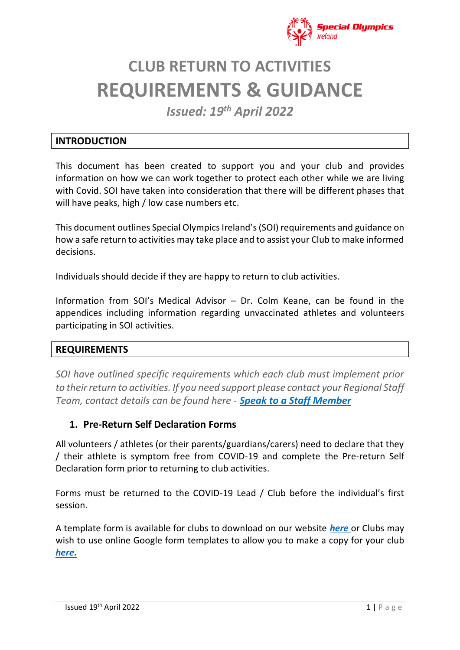

# **CLUB RETURN TO ACTIVITIES REQUIREMENTS & GUIDANCE**

*Issued: 19th April 2022*

#### **INTRODUCTION**

This document has been created to support you and your club and provides information on how we can work together to protect each other while we are living with Covid. SOI have taken into consideration that there will be different phases that will have peaks, high / low case numbers etc.

This document outlines Special Olympics Ireland's(SOI) requirements and guidance on how a safe return to activities may take place and to assist your Club to make informed decisions.

Individuals should decide if they are happy to return to club activities.

Information from SOI's Medical Advisor – Dr. Colm Keane, can be found in the appendices including information regarding unvaccinated athletes and volunteers participating in SOI activities.

#### **REQUIREMENTS**

*SOI have outlined specific requirements which each club must implement prior to their return to activities. If you need support please contact your Regional Staff Team, contact details can be found here - [Speak to a Staff Member](https://www.specialolympics.ie/contact)*

#### **1. Pre-Return Self Declaration Forms**

All volunteers / athletes (or their parents/guardians/carers) need to declare that they / their athlete is symptom free from COVID-19 and complete the Pre-return Self Declaration form prior to returning to club activities.

Forms must be returned to the COVID-19 Lead / Club before the individual's first session.

A template form is available for clubs to download on our website *[here](https://www.specialolympics.ie/sport/return-to-activities/club-information/return-to-activity-templates-for-clubs)* or Clubs may wish to use online Google form templates to allow you to make a copy for your club *[here.](https://docs.google.com/forms/d/1EXfkToy6O9zQB4dLeWdxqhRlEzxwINikI3A21a0EMpE/copy)*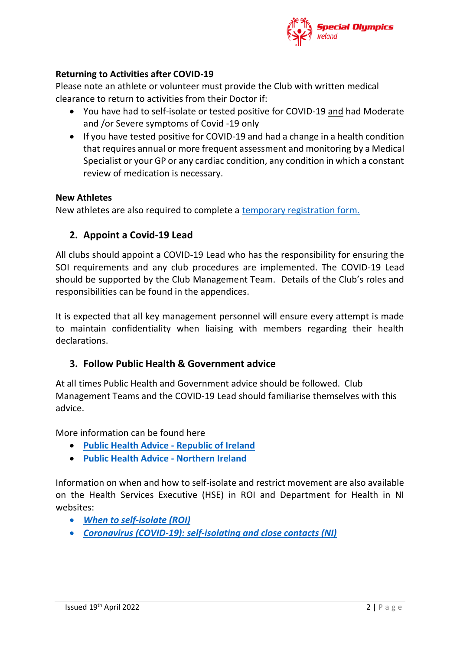

#### **Returning to Activities after COVID-19**

Please note an athlete or volunteer must provide the Club with written medical clearance to return to activities from their Doctor if:

- You have had to self-isolate or tested positive for COVID-19 and had Moderate and /or Severe symptoms of Covid -19 only
- If you have tested positive for COVID-19 and had a change in a health condition that requires annual or more frequent assessment and monitoring by a Medical Specialist or your GP or any cardiac condition, any condition in which a constant review of medication is necessary.

#### **New Athletes**

New athletes are also required to complete a [temporary registration form.](https://www.specialolympics.ie/sport/return-to-activities/club-information/return-to-activity-templates-for-clubs)

#### **2. Appoint a Covid-19 Lead**

All clubs should appoint a COVID-19 Lead who has the responsibility for ensuring the SOI requirements and any club procedures are implemented. The COVID-19 Lead should be supported by the Club Management Team. Details of the Club's roles and responsibilities can be found in the appendices.

It is expected that all key management personnel will ensure every attempt is made to maintain confidentiality when liaising with members regarding their health declarations.

#### **3. Follow Public Health & Government advice**

At all times Public Health and Government advice should be followed. Club Management Teams and the COVID-19 Lead should familiarise themselves with this advice.

More information can be found here

- **[Public Health Advice -](https://www.gov.ie/en/publication/3361b-public-health-updates/) Republic of Ireland**
- **[Public Health Advice -](https://www.nidirect.gov.uk/campaigns/coronavirus-covid-19) Northern Ireland**

Information on when and how to self-isolate and restrict movement are also available on the Health Services Executive (HSE) in ROI and Department for Health in NI websites:

- *[When to self-isolate \(ROI\)](https://www2.hse.ie/conditions/covid19/restricted-movements/how-to-self-isolate/#:~:text=When%20to%20self%2Disolate,have%20symptoms%20of%20COVID%2D19)*
- *Coronavirus (COVID-19): self-isolating and close contacts (NI)*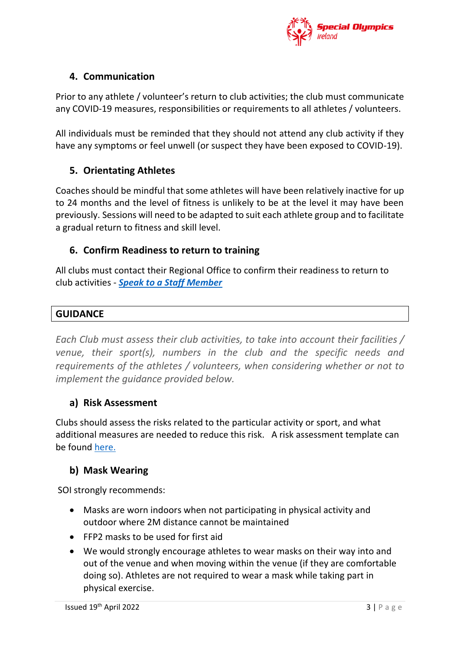

### **4. Communication**

Prior to any athlete / volunteer's return to club activities; the club must communicate any COVID-19 measures, responsibilities or requirements to all athletes / volunteers.

All individuals must be reminded that they should not attend any club activity if they have any symptoms or feel unwell (or suspect they have been exposed to COVID-19).

### **5. Orientating Athletes**

Coaches should be mindful that some athletes will have been relatively inactive for up to 24 months and the level of fitness is unlikely to be at the level it may have been previously. Sessions will need to be adapted to suit each athlete group and to facilitate a gradual return to fitness and skill level.

#### **6. Confirm Readiness to return to training**

All clubs must contact their Regional Office to confirm their readiness to return to club activities - *[Speak to a Staff Member](https://www.specialolympics.ie/contact)*

#### **GUIDANCE**

*Each Club must assess their club activities, to take into account their facilities / venue, their sport(s), numbers in the club and the specific needs and requirements of the athletes / volunteers, when considering whether or not to implement the guidance provided below.* 

#### **a) Risk Assessment**

Clubs should assess the risks related to the particular activity or sport, and what additional measures are needed to reduce this risk. A risk assessment template can be found [here.](https://www.specialolympics.ie/sport/return-to-activities/club-information/return-to-activity-templates-for-clubs)

## **b) Mask Wearing**

SOI strongly recommends:

- Masks are worn indoors when not participating in physical activity and outdoor where 2M distance cannot be maintained
- FFP2 masks to be used for first aid
- We would strongly encourage athletes to wear masks on their way into and out of the venue and when moving within the venue (if they are comfortable doing so). Athletes are not required to wear a mask while taking part in physical exercise.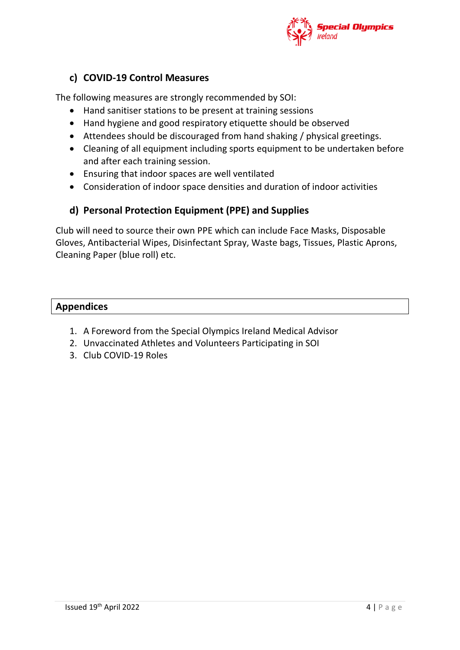

#### **c) COVID-19 Control Measures**

The following measures are strongly recommended by SOI:

- Hand sanitiser stations to be present at training sessions
- Hand hygiene and good respiratory etiquette should be observed
- Attendees should be discouraged from hand shaking / physical greetings.
- Cleaning of all equipment including sports equipment to be undertaken before and after each training session.
- Ensuring that indoor spaces are well ventilated
- Consideration of indoor space densities and duration of indoor activities

#### **d) Personal Protection Equipment (PPE) and Supplies**

Club will need to source their own PPE which can include Face Masks, Disposable Gloves, Antibacterial Wipes, Disinfectant Spray, Waste bags, Tissues, Plastic Aprons, Cleaning Paper (blue roll) etc.

#### **Appendices**

- 1. A Foreword from the Special Olympics Ireland Medical Advisor
- 2. Unvaccinated Athletes and Volunteers Participating in SOI
- 3. Club COVID-19 Roles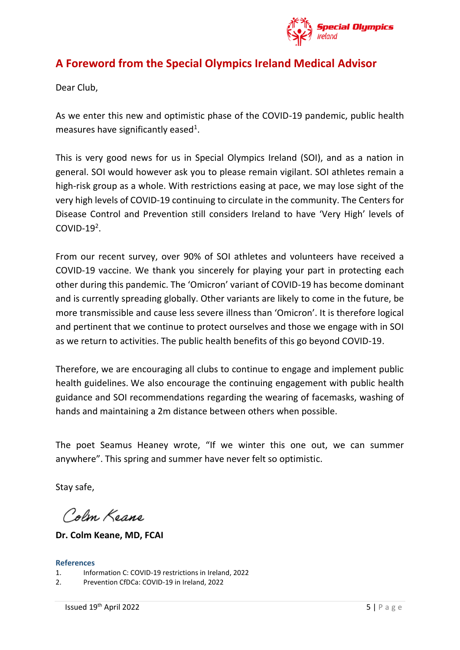

# **A Foreword from the Special Olympics Ireland Medical Advisor**

Dear Club,

As we enter this new and optimistic phase of the COVID-19 pandemic, public health measures have significantly eased<sup>1</sup>.

This is very good news for us in Special Olympics Ireland (SOI), and as a nation in general. SOI would however ask you to please remain vigilant. SOI athletes remain a high-risk group as a whole. With restrictions easing at pace, we may lose sight of the very high levels of COVID-19 continuing to circulate in the community. The Centers for Disease Control and Prevention still considers Ireland to have 'Very High' levels of COVID- $19^2$ .

From our recent survey, over 90% of SOI athletes and volunteers have received a COVID-19 vaccine. We thank you sincerely for playing your part in protecting each other during this pandemic. The 'Omicron' variant of COVID-19 has become dominant and is currently spreading globally. Other variants are likely to come in the future, be more transmissible and cause less severe illness than 'Omicron'. It is therefore logical and pertinent that we continue to protect ourselves and those we engage with in SOI as we return to activities. The public health benefits of this go beyond COVID-19.

Therefore, we are encouraging all clubs to continue to engage and implement public health guidelines. We also encourage the continuing engagement with public health guidance and SOI recommendations regarding the wearing of facemasks, washing of hands and maintaining a 2m distance between others when possible.

The poet Seamus Heaney wrote, "If we winter this one out, we can summer anywhere". This spring and summer have never felt so optimistic.

Stay safe,

Colm Keane

**Dr. Colm Keane, MD, FCAI**

#### **References**

- 1. Information C: COVID-19 restrictions in Ireland, 2022
- 2. Prevention CfDCa: COVID-19 in Ireland, 2022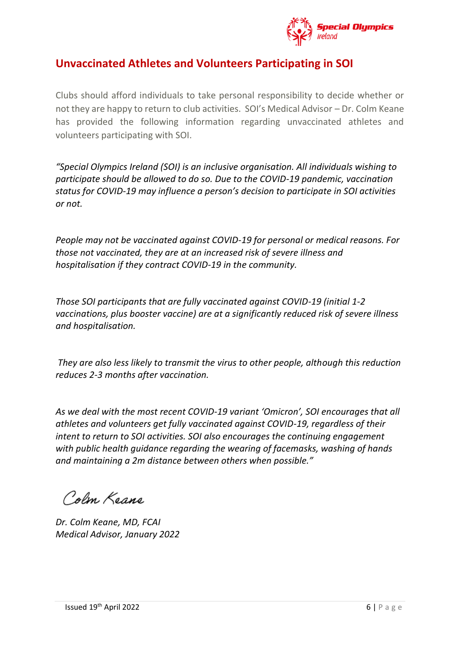

# **Unvaccinated Athletes and Volunteers Participating in SOI**

Clubs should afford individuals to take personal responsibility to decide whether or not they are happy to return to club activities. SOI's Medical Advisor – Dr. Colm Keane has provided the following information regarding unvaccinated athletes and volunteers participating with SOI.

*"Special Olympics Ireland (SOI) is an inclusive organisation. All individuals wishing to participate should be allowed to do so. Due to the COVID-19 pandemic, vaccination status for COVID-19 may influence a person's decision to participate in SOI activities or not.* 

*People may not be vaccinated against COVID-19 for personal or medical reasons. For those not vaccinated, they are at an increased risk of severe illness and hospitalisation if they contract COVID-19 in the community.* 

*Those SOI participants that are fully vaccinated against COVID-19 (initial 1-2 vaccinations, plus booster vaccine) are at a significantly reduced risk of severe illness and hospitalisation.*

*They are also less likely to transmit the virus to other people, although this reduction reduces 2-3 months after vaccination.* 

*As we deal with the most recent COVID-19 variant 'Omicron', SOI encourages that all athletes and volunteers get fully vaccinated against COVID-19, regardless of their intent to return to SOI activities. SOI also encourages the continuing engagement with public health guidance regarding the wearing of facemasks, washing of hands and maintaining a 2m distance between others when possible."* 

Colm Keans

*Dr. Colm Keane, MD, FCAI Medical Advisor, January 2022*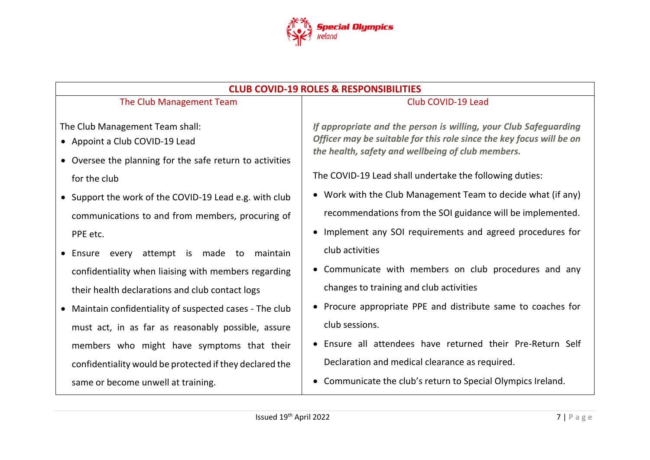

| <b>CLUB COVID-19 ROLES &amp; RESPONSIBILITIES</b>                                                                                                                                                                                                                                                                                                                                                                         |                                                                                                                                                                                                                                                                                                                                                                                        |
|---------------------------------------------------------------------------------------------------------------------------------------------------------------------------------------------------------------------------------------------------------------------------------------------------------------------------------------------------------------------------------------------------------------------------|----------------------------------------------------------------------------------------------------------------------------------------------------------------------------------------------------------------------------------------------------------------------------------------------------------------------------------------------------------------------------------------|
| The Club Management Team                                                                                                                                                                                                                                                                                                                                                                                                  | Club COVID-19 Lead                                                                                                                                                                                                                                                                                                                                                                     |
| The Club Management Team shall:<br>• Appoint a Club COVID-19 Lead<br>• Oversee the planning for the safe return to activities<br>for the club<br>• Support the work of the COVID-19 Lead e.g. with club<br>communications to and from members, procuring of                                                                                                                                                               | If appropriate and the person is willing, your Club Safeguarding<br>Officer may be suitable for this role since the key focus will be on<br>the health, safety and wellbeing of club members.<br>The COVID-19 Lead shall undertake the following duties:<br>• Work with the Club Management Team to decide what (if any)<br>recommendations from the SOI guidance will be implemented. |
| PPE etc.                                                                                                                                                                                                                                                                                                                                                                                                                  | • Implement any SOI requirements and agreed procedures for                                                                                                                                                                                                                                                                                                                             |
| every attempt is made to maintain<br>• Ensure<br>confidentiality when liaising with members regarding<br>their health declarations and club contact logs<br>• Maintain confidentiality of suspected cases - The club<br>must act, in as far as reasonably possible, assure<br>members who might have symptoms that their<br>confidentiality would be protected if they declared the<br>same or become unwell at training. | club activities<br>• Communicate with members on club procedures and any<br>changes to training and club activities<br>• Procure appropriate PPE and distribute same to coaches for<br>club sessions.<br>• Ensure all attendees have returned their Pre-Return Self<br>Declaration and medical clearance as required.<br>• Communicate the club's return to Special Olympics Ireland.  |